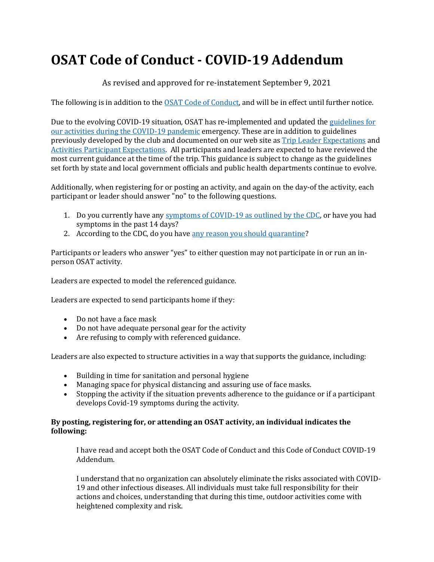## **OSAT Code of Conduct - COVID-19 Addendum**

As revised and approved for re-instatement September 9, 2021

The following is in addition to the [OSAT Code of Conduct,](https://osat.org/resources/Documents/OSAT%20Code%20of%20Conduct%20020319.pdf) and will be in effect until further notice.

Due to the evolving COVID-19 situation, OSAT has re-implemented and updated the [guidelines](https://osat.org/resources/Documents/OSAT%20COVID-19%20Guidelines.pdf) for our activities [during the COVID-19 pandemic](https://osat.org/resources/Documents/OSAT%20COVID-19%20Guidelines.pdf) emergency. These are in addition to guidelines previously developed by the club and documented on our web site as [Trip Leader Expectations](https://osat.org/resources/Documents/OSAT%20ACTIVITIES/OSAT%20Trip%20Leader%20Expectations%205.31.pdf) and [Activities Participant Expectations.](https://osat.org/resources/Documents/OSAT%20ACTIVITIES/OSAT%20ACTIVITIES%20Participant%20Expectations%20Oct%20%206%202019.pdf) All participants and leaders are expected to have reviewed the most current guidance at the time of the trip. This guidance is subject to change as the guidelines set forth by state and local government officials and public health departments continue to evolve.

Additionally, when registering for or posting an activity, and again on the day-of the activity, each participant or leader should answer "no" to the following questions.

- 1. Do you currently have any [symptoms of COVID-19 as outlined by the CDC,](https://www.cdc.gov/coronavirus/2019-ncov/symptoms-testing/symptoms.html) or have you had symptoms in the past 14 days?
- 2. According to the CDC, do you have [any reason you should quarantine?](https://www.cdc.gov/coronavirus/2019-ncov/if-you-are-sick/quarantine.html?CDC_AA_refVal=https%3A%2F%2Fwww.cdc.gov%2Fcoronavirus%2F2019-ncov%2Fif-you-are-sick%2Fquarantine-isolation.html)

Participants or leaders who answer "yes" to either question may not participate in or run an inperson OSAT activity.

Leaders are expected to model the referenced guidance.

Leaders are expected to send participants home if they:

- Do not have a face mask
- Do not have adequate personal gear for the activity
- Are refusing to comply with referenced guidance.

Leaders are also expected to structure activities in a way that supports the guidance, including:

- Building in time for sanitation and personal hygiene
- Managing space for physical distancing and assuring use of face masks.
- Stopping the activity if the situation prevents adherence to the guidance or if a participant develops Covid-19 symptoms during the activity.

## **By posting, registering for, or attending an OSAT activity, an individual indicates the following:**

I have read and accept both the OSAT Code of Conduct and this Code of Conduct COVID-19 Addendum.

I understand that no organization can absolutely eliminate the risks associated with COVID-19 and other infectious diseases. All individuals must take full responsibility for their actions and choices, understanding that during this time, outdoor activities come with heightened complexity and risk.